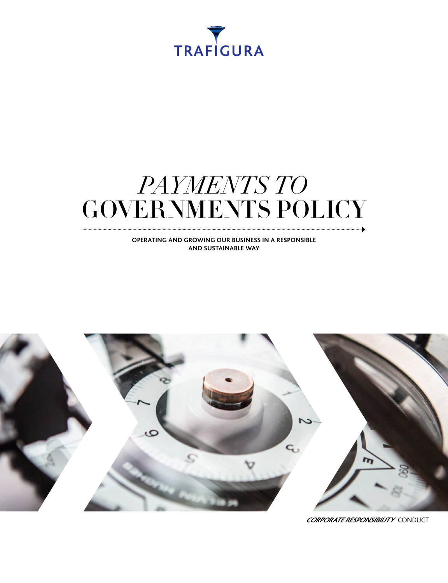

## *PAYMENTS TO* GOVERNMENTS POLICY

**OPERATING AND GROWING OUR BUSINESS IN A RESPONSIBLE AND SUSTAINABLE WAY**



**CORPORATE RESPONSIBILITY** CONDUCT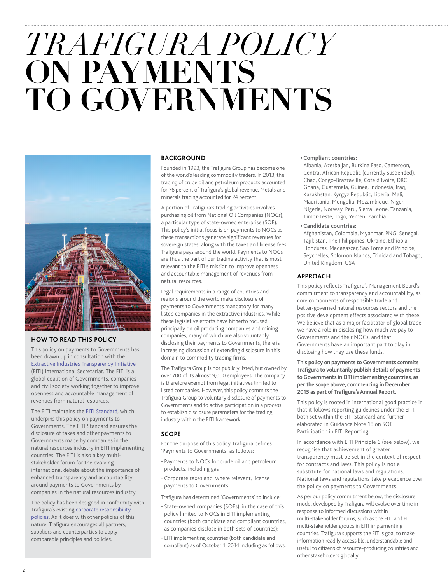# *TRAFIGURA POLICY*  **ON PAYMENTS TO GOVERNMENTS**



#### **HOW TO READ THIS POLICY**

This policy on payments to Governments has been drawn up in consultation with the [Extractive Industries Transparency Initiative](https://eiti.org/eiti) (EITI) International Secretariat. The EITI is a global coalition of Governments, companies and civil society working together to improve openness and accountable management of revenues from natural resources.

The EITI maintains the [EITI Standard,](https://eiti.org/document/standard) which underpins this policy on payments to Governments. The EITI Standard ensures the disclosure of taxes and other payments to Governments made by companies in the natural resources industry in EITI implementing countries. The EITI is also a key multistakeholder forum for the evolving international debate about the importance of enhanced transparency and accountability around payments to Governments by companies in the natural resources industry.

The policy has been designed in conformity with Trafigura's existing [corporate responsibility](http://www.trafigura.com/about-us/responsibility/)  [policies](http://www.trafigura.com/about-us/responsibility/). As it does with other policies of this nature, Trafigura encourages all partners, suppliers and counterparties to apply comparable principles and policies.

#### **BACKGROUND**

Founded in 1993, the Trafigura Group has become one of the world's leading commodity traders. In 2013, the trading of crude oil and petroleum products accounted for 76 percent of Trafigura's global revenue. Metals and minerals trading accounted for 24 percent.

A portion of Trafigura's trading activities involves purchasing oil from National Oil Companies (NOCs), a particular type of state-owned enterprise (SOE). This policy's initial focus is on payments to NOCs as these transactions generate significant revenues for sovereign states, along with the taxes and license fees Trafigura pays around the world. Payments to NOCs are thus the part of our trading activity that is most relevant to the EITI's mission to improve openness and accountable management of revenues from natural resources.

Legal requirements in a range of countries and regions around the world make disclosure of payments to Governments mandatory for many listed companies in the extractive industries. While these legislative efforts have hitherto focused principally on oil producing companies and mining companies, many of which are also voluntarily disclosing their payments to Governments, there is increasing discussion of extending disclosure in this domain to commodity trading firms.

The Trafigura Group is not publicly listed, but owned by over 700 of its almost 9,000 employees. The company is therefore exempt from legal initiatives limited to listed companies. However, this policy commits the Trafigura Group to voluntary disclosure of payments to Governments and to active participation in a process to establish disclosure parameters for the trading industry within the EITI framework.

#### **SCOPE**

For the purpose of this policy Trafigura defines 'Payments to Governments' as follows:

- Payments to NOCs for crude oil and petroleum products, including gas
- Corporate taxes and, where relevant, license payments to Governments
- Trafigura has determined 'Governments' to include:
- State-owned companies (SOEs), in the case of this policy limited to NOCs in EITI implementing countries (both candidate and compliant countries, as companies disclose in both sets of countries);
- EITI implementing countries (both candidate and compliant) as of October 1, 2014 including as follows:

#### **• Compliant countries:**

Albania, Azerbaijan, Burkina Faso, Cameroon, Central African Republic (currently suspended), Chad, Congo-Brazzaville, Cote d'Ivoire, DRC, Ghana, Guatemala, Guinea, Indonesia, Iraq, Kazakhstan, Kyrgyz Republic, Liberia, Mali, Mauritania, Mongolia, Mozambique, Niger, Nigeria, Norway, Peru, Sierra Leone, Tanzania, Timor-Leste, Togo, Yemen, Zambia

**• Candidate countries:**

Afghanistan, Colombia, Myanmar, PNG, Senegal, Tajikistan, The Philippines, Ukraine, Ethiopia, Honduras, Madagascar, Sao Tome and Principe, Seychelles, Solomon Islands, Trinidad and Tobago, United Kingdom, USA

#### **APPROACH**

This policy reflects Trafigura's Management Board's commitment to transparency and accountability, as core components of responsible trade and better-governed natural resources sectors and the positive development effects associated with these. We believe that as a major facilitator of global trade we have a role in disclosing how much we pay to Governments and their NOCs, and that Governments have an important part to play in disclosing how they use these funds.

**This policy on payments to Governments commits Trafigura to voluntarily publish details of payments to Governments in EITI implementing countries, as per the scope above, commencing in December 2015 as part of Trafigura's Annual Report.** 

This policy is rooted in international good practice in that it follows reporting guidelines under the EITI, both set within the EITI Standard and further elaborated in Guidance Note 18 on SOE Participation in EITI Reporting.

In accordance with EITI Principle 6 (see below), we recognise that achievement of greater transparency must be set in the context of respect for contracts and laws. This policy is not a substitute for national laws and regulations. National laws and regulations take precedence over the policy on payments to Governments.

As per our policy commitment below, the disclosure model developed by Trafigura will evolve over time in response to informed discussions within multi-stakeholder forums, such as the EITI and EITI multi-stakeholder groups in EITI implementing countries. Trafigura supports the EITI's goal to make information readily accessible, understandable and useful to citizens of resource-producing countries and other stakeholders globally.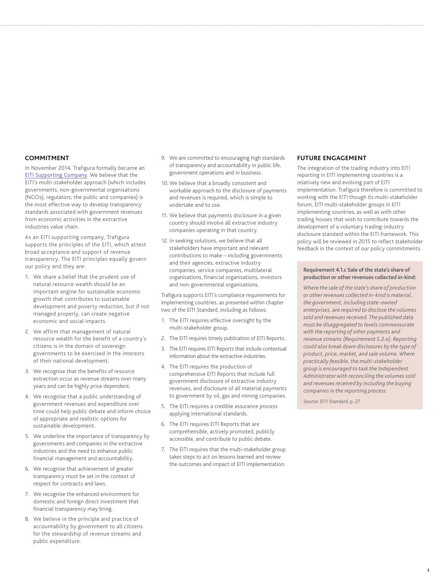#### **COMMITMENT**

In November 2014, Trafigura formally became an [EITI Supporting Company](https://eiti.org/supporters/companies). We believe that the EITI's multi-stakeholder approach (which includes governments, non-governmental organisations (NGOs), regulators, the public and companies) is the most effective way to develop transparency standards associated with government revenues from economic activities in the extractive industries value chain.

As an EITI supporting company, Trafigura supports the principles of the EITI, which attest broad acceptance and support of revenue transparency. The EITI principles equally govern our policy and they are:

- 1. We share a belief that the prudent use of natural resource wealth should be an important engine for sustainable economic growth that contributes to sustainable development and poverty reduction, but if not managed properly, can create negative economic and social impacts.
- 2. We affirm that management of natural resource wealth for the benefit of a country's citizens is in the domain of sovereign governments to be exercised in the interests of their national development.
- 3. We recognise that the benefits of resource extraction occur as revenue streams over many years and can be highly price dependent.
- 4. We recognise that a public understanding of government revenues and expenditure over time could help public debate and inform choice of appropriate and realistic options for sustainable development.
- 5. We underline the importance of transparency by governments and companies in the extractive industries and the need to enhance public financial management and accountability.
- 6. We recognise that achievement of greater transparency must be set in the context of respect for contracts and laws.
- 7. We recognise the enhanced environment for domestic and foreign direct investment that financial transparency may bring.
- 8. We believe in the principle and practice of accountability by government to all citizens for the stewardship of revenue streams and public expenditure.
- 9. We are committed to encouraging high standards of transparency and accountability in public life, government operations and in business.
- 10. We believe that a broadly consistent and workable approach to the disclosure of payments and revenues is required, which is simple to undertake and to use.
- 11. We believe that payments disclosure in a given country should involve all extractive industry companies operating in that country.
- 12. In seeking solutions, we believe that all stakeholders have important and relevant contributions to make – including governments and their agencies, extractive industry companies, service companies, multilateral organisations, financial organisations, investors and non-governmental organisations.

Trafigura supports EITI's compliance requirements for implementing countries, as presented within chapter two of the EITI Standard, including as follows:

- 1. The EITI requires effective oversight by the multi-stakeholder group.
- 2. The EITI requires timely publication of EITI Reports.
- 3. The EITI requires EITI Reports that include contextual information about the extractive industries.
- 4. The EITI requires the production of comprehensive EITI Reports that include full government disclosure of extractive industry revenues, and disclosure of all material payments to government by oil, gas and mining companies.
- 5. The EITI requires a credible assurance process applying international standards.
- 6. The EITI requires EITI Reports that are comprehensible, actively promoted, publicly accessible, and contribute to public debate.
- 7. The EITI requires that the multi-stakeholder group takes steps to act on lessons learned and review the outcomes and impact of EITI implementation.

#### **FUTURE ENGAGEMENT**

The integration of the trading industry into EITI reporting in EITI implementing countries is a relatively new and evolving part of EITI implementation. Trafigura therefore is committed to working with the EITI though its multi-stakeholder forum, EITI multi-stakeholder groups in EITI implementing countries, as well as with other trading houses that wish to contribute towards the development of a voluntary trading-industry disclosure standard within the EITI framework. This policy will be reviewed in 2015 to reflect stakeholder feedback in the context of our policy commitments.

#### **Requirement 4.1.c Sale of the state's share of production or other revenues collected in-kind:**

*Where the sale of the state's share of production or other revenues collected in-kind is material, the government, including state-owned enterprises, are required to disclose the volumes sold and revenues received. The published data must be disaggregated to levels commensurate with the reporting of other payments and revenue streams (Requirement 5.2.e). Reporting could also break down disclosures by the type of product, price, market, and sale volume. Where practically feasible, the multi-stakeholder group is encouraged to task the Independent Administrator with reconciling the volumes sold and revenues received by including the buying companies in the reporting process.*

Source: EITI Standard, p. 27